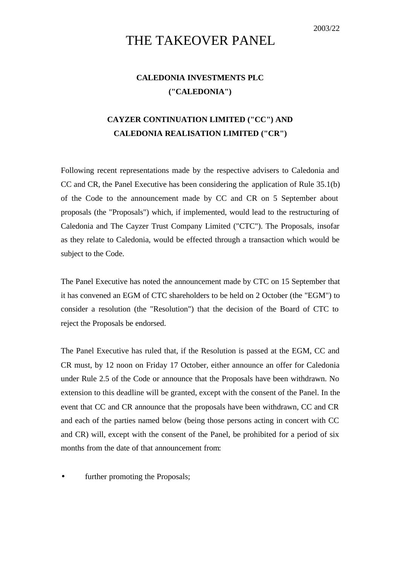## THE TAKEOVER PANEL

## **CALEDONIA INVESTMENTS PLC ("CALEDONIA")**

## **CAYZER CONTINUATION LIMITED ("CC") AND CALEDONIA REALISATION LIMITED ("CR")**

Following recent representations made by the respective advisers to Caledonia and CC and CR, the Panel Executive has been considering the application of Rule 35.1(b) of the Code to the announcement made by CC and CR on 5 September about proposals (the "Proposals") which, if implemented, would lead to the restructuring of Caledonia and The Cayzer Trust Company Limited ("CTC"). The Proposals, insofar as they relate to Caledonia, would be effected through a transaction which would be subject to the Code.

The Panel Executive has noted the announcement made by CTC on 15 September that it has convened an EGM of CTC shareholders to be held on 2 October (the "EGM") to consider a resolution (the "Resolution") that the decision of the Board of CTC to reject the Proposals be endorsed.

The Panel Executive has ruled that, if the Resolution is passed at the EGM, CC and CR must, by 12 noon on Friday 17 October, either announce an offer for Caledonia under Rule 2.5 of the Code or announce that the Proposals have been withdrawn. No extension to this deadline will be granted, except with the consent of the Panel. In the event that CC and CR announce that the proposals have been withdrawn, CC and CR and each of the parties named below (being those persons acting in concert with CC and CR) will, except with the consent of the Panel, be prohibited for a period of six months from the date of that announcement from:

further promoting the Proposals;